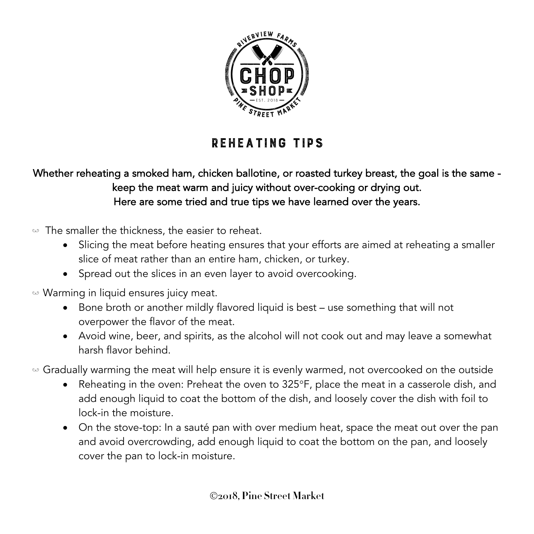

## REHEATING tips

## Whether reheating a smoked ham, chicken ballotine, or roasted turkey breast, the goal is the same keep the meat warm and juicy without over-cooking or drying out. Here are some tried and true tips we have learned over the years.

- $\omega$  The smaller the thickness, the easier to reheat.
	- Slicing the meat before heating ensures that your efforts are aimed at reheating a smaller slice of meat rather than an entire ham, chicken, or turkey.
	- Spread out the slices in an even layer to avoid overcooking.
- $\omega$  Warming in liquid ensures juicy meat.
	- Bone broth or another mildly flavored liquid is best use something that will not overpower the flavor of the meat.
	- Avoid wine, beer, and spirits, as the alcohol will not cook out and may leave a somewhat harsh flavor behind.
- $\omega$  Gradually warming the meat will help ensure it is evenly warmed, not overcooked on the outside
	- Reheating in the oven: Preheat the oven to 325°F, place the meat in a casserole dish, and add enough liquid to coat the bottom of the dish, and loosely cover the dish with foil to lock-in the moisture.
	- On the stove-top: In a sauté pan with over medium heat, space the meat out over the pan and avoid overcrowding, add enough liquid to coat the bottom on the pan, and loosely cover the pan to lock-in moisture.

Ó**2018, Pine Street Market**